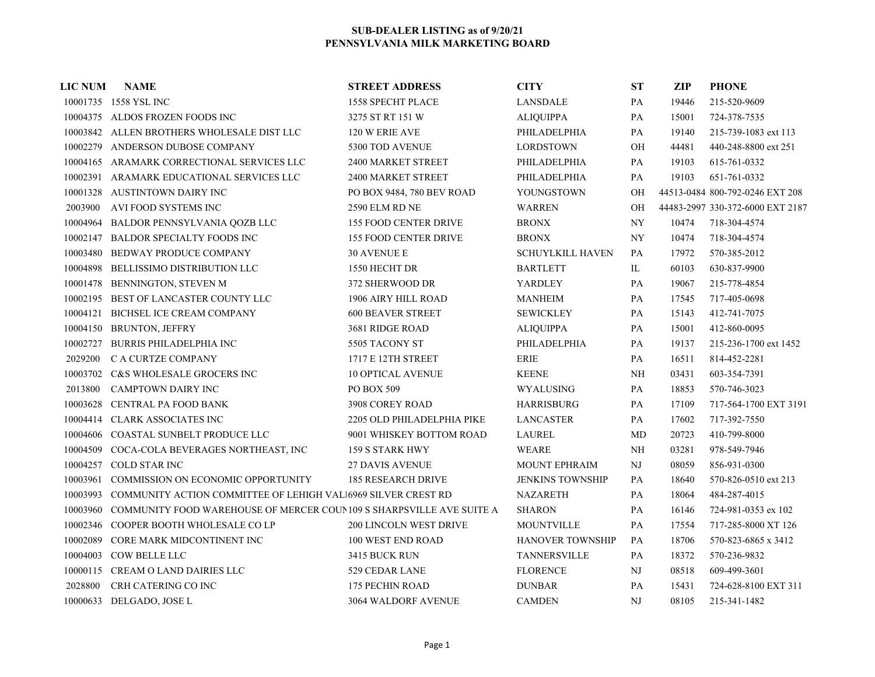| <b>LIC NUM</b> | <b>NAME</b>                                                                    | <b>STREET ADDRESS</b>         | <b>CITY</b>             | <b>ST</b>     | <b>ZIP</b> | <b>PHONE</b>                     |
|----------------|--------------------------------------------------------------------------------|-------------------------------|-------------------------|---------------|------------|----------------------------------|
|                | 10001735 1558 YSL INC                                                          | <b>1558 SPECHT PLACE</b>      | <b>LANSDALE</b>         | PA            | 19446      | 215-520-9609                     |
|                | 10004375 ALDOS FROZEN FOODS INC                                                | 3275 ST RT 151 W              | <b>ALIQUIPPA</b>        | PA            | 15001      | 724-378-7535                     |
|                | 10003842 ALLEN BROTHERS WHOLESALE DIST LLC                                     | 120 W ERIE AVE                | PHILADELPHIA            | PA            | 19140      | 215-739-1083 ext 113             |
|                | 10002279 ANDERSON DUBOSE COMPANY                                               | 5300 TOD AVENUE               | <b>LORDSTOWN</b>        | OH            | 44481      | 440-248-8800 ext 251             |
|                | 10004165 ARAMARK CORRECTIONAL SERVICES LLC                                     | 2400 MARKET STREET            | PHILADELPHIA            | PA            | 19103      | 615-761-0332                     |
|                | 10002391 ARAMARK EDUCATIONAL SERVICES LLC                                      | 2400 MARKET STREET            | PHILADELPHIA            | PA            | 19103      | 651-761-0332                     |
|                | 10001328 AUSTINTOWN DAIRY INC                                                  | PO BOX 9484, 780 BEV ROAD     | YOUNGSTOWN              | <b>OH</b>     |            | 44513-0484 800-792-0246 EXT 208  |
| 2003900        | AVI FOOD SYSTEMS INC                                                           | <b>2590 ELM RD NE</b>         | <b>WARREN</b>           | <b>OH</b>     |            | 44483-2997 330-372-6000 EXT 2187 |
|                | 10004964 BALDOR PENNSYLVANIA QOZB LLC                                          | 155 FOOD CENTER DRIVE         | <b>BRONX</b>            | NY            | 10474      | 718-304-4574                     |
|                | 10002147 BALDOR SPECIALTY FOODS INC                                            | <b>155 FOOD CENTER DRIVE</b>  | <b>BRONX</b>            | <b>NY</b>     | 10474      | 718-304-4574                     |
|                | 10003480 BEDWAY PRODUCE COMPANY                                                | <b>30 AVENUE E</b>            | <b>SCHUYLKILL HAVEN</b> | PA            | 17972      | 570-385-2012                     |
|                | 10004898 BELLISSIMO DISTRIBUTION LLC                                           | 1550 HECHT DR                 | <b>BARTLETT</b>         | $\rm IL$      | 60103      | 630-837-9900                     |
|                | 10001478 BENNINGTON, STEVEN M                                                  | 372 SHERWOOD DR               | YARDLEY                 | PA            | 19067      | 215-778-4854                     |
|                | 10002195 BEST OF LANCASTER COUNTY LLC                                          | 1906 AIRY HILL ROAD           | <b>MANHEIM</b>          | PA            | 17545      | 717-405-0698                     |
|                | 10004121 BICHSEL ICE CREAM COMPANY                                             | <b>600 BEAVER STREET</b>      | <b>SEWICKLEY</b>        | PA            | 15143      | 412-741-7075                     |
|                | 10004150 BRUNTON, JEFFRY                                                       | 3681 RIDGE ROAD               | <b>ALIQUIPPA</b>        | PA            | 15001      | 412-860-0095                     |
| 10002727       | BURRIS PHILADELPHIA INC                                                        | 5505 TACONY ST                | PHILADELPHIA            | PA            | 19137      | 215-236-1700 ext 1452            |
| 2029200        | C A CURTZE COMPANY                                                             | 1717 E 12TH STREET            | <b>ERIE</b>             | PA            | 16511      | 814-452-2281                     |
|                | 10003702 C&S WHOLESALE GROCERS INC                                             | <b>10 OPTICAL AVENUE</b>      | <b>KEENE</b>            | $N\text{H}$   | 03431      | 603-354-7391                     |
| 2013800        | CAMPTOWN DAIRY INC                                                             | PO BOX 509                    | WYALUSING               | PA            | 18853      | 570-746-3023                     |
|                | 10003628 CENTRAL PA FOOD BANK                                                  | 3908 COREY ROAD               | <b>HARRISBURG</b>       | PA            | 17109      | 717-564-1700 EXT 3191            |
|                | 10004414 CLARK ASSOCIATES INC                                                  | 2205 OLD PHILADELPHIA PIKE    | <b>LANCASTER</b>        | PA            | 17602      | 717-392-7550                     |
|                | 10004606 COASTAL SUNBELT PRODUCE LLC                                           | 9001 WHISKEY BOTTOM ROAD      | <b>LAUREL</b>           | MD            | 20723      | 410-799-8000                     |
|                | 10004509 COCA-COLA BEVERAGES NORTHEAST, INC                                    | 159 S STARK HWY               | <b>WEARE</b>            | NH            | 03281      | 978-549-7946                     |
|                | 10004257 COLD STAR INC                                                         | <b>27 DAVIS AVENUE</b>        | <b>MOUNT EPHRAIM</b>    | $\rm{NJ}$     | 08059      | 856-931-0300                     |
| 10003961       | <b>COMMISSION ON ECONOMIC OPPORTUNITY</b>                                      | <b>185 RESEARCH DRIVE</b>     | <b>JENKINS TOWNSHIP</b> | PA            | 18640      | 570-826-0510 ext 213             |
| 10003993       | <b>COMMUNITY ACTION COMMITTEE OF LEHIGH VALI6969 SILVER CREST RD</b>           |                               | <b>NAZARETH</b>         | $\mathbf{PA}$ | 18064      | 484-287-4015                     |
|                | 10003960 COMMUNITY FOOD WAREHOUSE OF MERCER COUN 109 S SHARPSVILLE AVE SUITE A |                               | <b>SHARON</b>           | PA            | 16146      | 724-981-0353 ex 102              |
|                | 10002346 COOPER BOOTH WHOLESALE CO LP                                          | <b>200 LINCOLN WEST DRIVE</b> | <b>MOUNTVILLE</b>       | PA            | 17554      | 717-285-8000 XT 126              |
| 10002089       | CORE MARK MIDCONTINENT INC                                                     | 100 WEST END ROAD             | HANOVER TOWNSHIP        | PA            | 18706      | 570-823-6865 x 3412              |
|                | 10004003 COW BELLE LLC                                                         | 3415 BUCK RUN                 | TANNERSVILLE            | PA            | 18372      | 570-236-9832                     |
|                | 10000115 CREAM O LAND DAIRIES LLC                                              | 529 CEDAR LANE                | <b>FLORENCE</b>         | NJ            | 08518      | 609-499-3601                     |
| 2028800        | CRH CATERING CO INC                                                            | 175 PECHIN ROAD               | <b>DUNBAR</b>           | PA            | 15431      | 724-628-8100 EXT 311             |
|                | 10000633 DELGADO, JOSE L                                                       | 3064 WALDORF AVENUE           | <b>CAMDEN</b>           | NJ            | 08105      | 215-341-1482                     |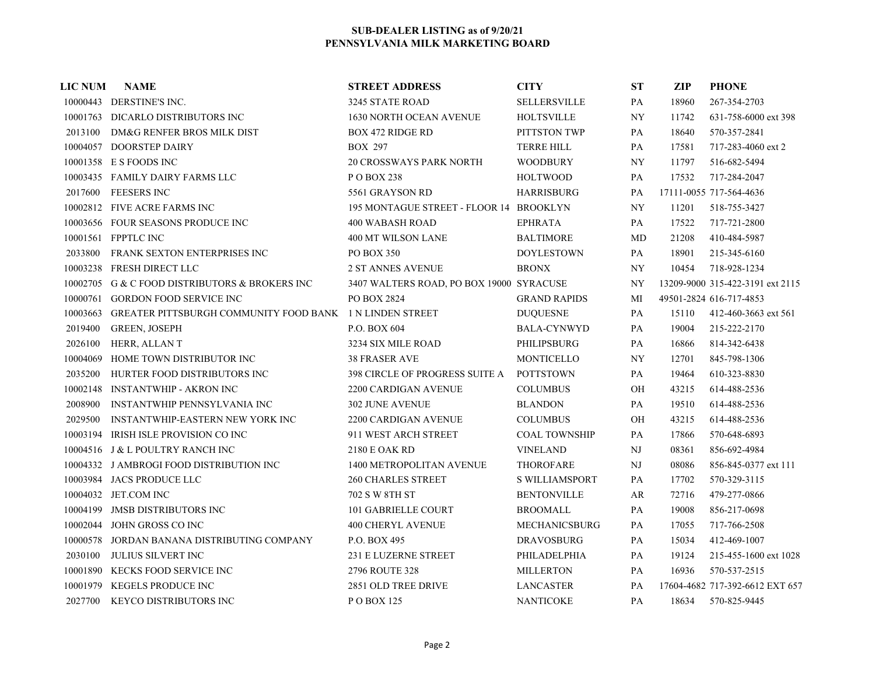| <b>LIC NUM</b> | <b>NAME</b>                                                     | <b>STREET ADDRESS</b>                    | <b>CITY</b>           | <b>ST</b>     | ZIP   | <b>PHONE</b>                     |
|----------------|-----------------------------------------------------------------|------------------------------------------|-----------------------|---------------|-------|----------------------------------|
|                | 10000443 DERSTINE'S INC.                                        | 3245 STATE ROAD                          | <b>SELLERSVILLE</b>   | PA            | 18960 | 267-354-2703                     |
|                | 10001763 DICARLO DISTRIBUTORS INC                               | <b>1630 NORTH OCEAN AVENUE</b>           | <b>HOLTSVILLE</b>     | <b>NY</b>     | 11742 | 631-758-6000 ext 398             |
| 2013100        | DM&G RENFER BROS MILK DIST                                      | <b>BOX 472 RIDGE RD</b>                  | PITTSTON TWP          | PA            | 18640 | 570-357-2841                     |
|                | 10004057 DOORSTEP DAIRY                                         | <b>BOX 297</b>                           | <b>TERRE HILL</b>     | PA            | 17581 | 717-283-4060 ext 2               |
|                | 10001358 E S FOODS INC                                          | <b>20 CROSSWAYS PARK NORTH</b>           | <b>WOODBURY</b>       | NY.           | 11797 | 516-682-5494                     |
|                | 10003435 FAMILY DAIRY FARMS LLC                                 | P O BOX 238                              | <b>HOLTWOOD</b>       | PA            | 17532 | 717-284-2047                     |
| 2017600        | <b>FEESERS INC</b>                                              | 5561 GRAYSON RD                          | <b>HARRISBURG</b>     | PA            |       | 17111-0055 717-564-4636          |
|                | 10002812 FIVE ACRE FARMS INC                                    | 195 MONTAGUE STREET - FLOOR 14 BROOKLYN  |                       | NY            | 11201 | 518-755-3427                     |
|                | 10003656 FOUR SEASONS PRODUCE INC                               | <b>400 WABASH ROAD</b>                   | <b>EPHRATA</b>        | PA            | 17522 | 717-721-2800                     |
|                | 10001561 FPPTLC INC                                             | 400 MT WILSON LANE                       | <b>BALTIMORE</b>      | MD            | 21208 | 410-484-5987                     |
| 2033800        | FRANK SEXTON ENTERPRISES INC                                    | <b>PO BOX 350</b>                        | <b>DOYLESTOWN</b>     | PA            | 18901 | 215-345-6160                     |
|                | 10003238 FRESH DIRECT LLC                                       | <b>2 ST ANNES AVENUE</b>                 | <b>BRONX</b>          | NY.           | 10454 | 718-928-1234                     |
|                | 10002705 G & C FOOD DISTRIBUTORS & BROKERS INC                  | 3407 WALTERS ROAD, PO BOX 19000 SYRACUSE |                       | NY            |       | 13209-9000 315-422-3191 ext 2115 |
| 10000761       | <b>GORDON FOOD SERVICE INC</b>                                  | PO BOX 2824                              | <b>GRAND RAPIDS</b>   | МI            |       | 49501-2824 616-717-4853          |
| 10003663       | <b>GREATER PITTSBURGH COMMUNITY FOOD BANK 1 N LINDEN STREET</b> |                                          | <b>DUQUESNE</b>       | PA            | 15110 | 412-460-3663 ext 561             |
| 2019400        | <b>GREEN, JOSEPH</b>                                            | P.O. BOX 604                             | <b>BALA-CYNWYD</b>    | PA            | 19004 | 215-222-2170                     |
| 2026100        | HERR, ALLANT                                                    | 3234 SIX MILE ROAD                       | PHILIPSBURG           | PA            | 16866 | 814-342-6438                     |
| 10004069       | HOME TOWN DISTRIBUTOR INC                                       | <b>38 FRASER AVE</b>                     | <b>MONTICELLO</b>     | <b>NY</b>     | 12701 | 845-798-1306                     |
| 2035200        | HURTER FOOD DISTRIBUTORS INC                                    | <b>398 CIRCLE OF PROGRESS SUITE A</b>    | <b>POTTSTOWN</b>      | PA            | 19464 | 610-323-8830                     |
|                | 10002148 INSTANTWHIP - AKRON INC                                | 2200 CARDIGAN AVENUE                     | <b>COLUMBUS</b>       | $\rm OH$      | 43215 | 614-488-2536                     |
| 2008900        | <b>INSTANTWHIP PENNSYLVANIA INC</b>                             | <b>302 JUNE AVENUE</b>                   | <b>BLANDON</b>        | PA            | 19510 | 614-488-2536                     |
| 2029500        | <b>INSTANTWHIP-EASTERN NEW YORK INC</b>                         | 2200 CARDIGAN AVENUE                     | <b>COLUMBUS</b>       | OH            | 43215 | 614-488-2536                     |
|                | 10003194 IRISH ISLE PROVISION CO INC                            | 911 WEST ARCH STREET                     | <b>COAL TOWNSHIP</b>  | PA            | 17866 | 570-648-6893                     |
|                | 10004516 J & L POULTRY RANCH INC                                | 2180 E OAK RD                            | <b>VINELAND</b>       | NJ            | 08361 | 856-692-4984                     |
|                | 10004332 J AMBROGI FOOD DISTRIBUTION INC                        | 1400 METROPOLITAN AVENUE                 | <b>THOROFARE</b>      | NJ            | 08086 | 856-845-0377 ext 111             |
|                | 10003984 JACS PRODUCE LLC                                       | <b>260 CHARLES STREET</b>                | <b>S WILLIAMSPORT</b> | PA            | 17702 | 570-329-3115                     |
|                | 10004032 JET.COM INC                                            | 702 S W 8TH ST                           | <b>BENTONVILLE</b>    | AR            | 72716 | 479-277-0866                     |
|                | 10004199 JMSB DISTRIBUTORS INC                                  | 101 GABRIELLE COURT                      | <b>BROOMALL</b>       | $\mathbf{PA}$ | 19008 | 856-217-0698                     |
|                | 10002044 JOHN GROSS CO INC                                      | <b>400 CHERYL AVENUE</b>                 | <b>MECHANICSBURG</b>  | PA            | 17055 | 717-766-2508                     |
|                | 10000578 JORDAN BANANA DISTRIBUTING COMPANY                     | P.O. BOX 495                             | <b>DRAVOSBURG</b>     | PA            | 15034 | 412-469-1007                     |
| 2030100        | <b>JULIUS SILVERT INC</b>                                       | <b>231 E LUZERNE STREET</b>              | PHILADELPHIA          | PA            | 19124 | 215-455-1600 ext 1028            |
|                | 10001890 KECKS FOOD SERVICE INC                                 | 2796 ROUTE 328                           | <b>MILLERTON</b>      | PA            | 16936 | 570-537-2515                     |
|                | 10001979 KEGELS PRODUCE INC                                     | 2851 OLD TREE DRIVE                      | <b>LANCASTER</b>      | PA            |       | 17604-4682 717-392-6612 EXT 657  |
|                | 2027700 KEYCO DISTRIBUTORS INC                                  | PO BOX 125                               | <b>NANTICOKE</b>      | PA            | 18634 | 570-825-9445                     |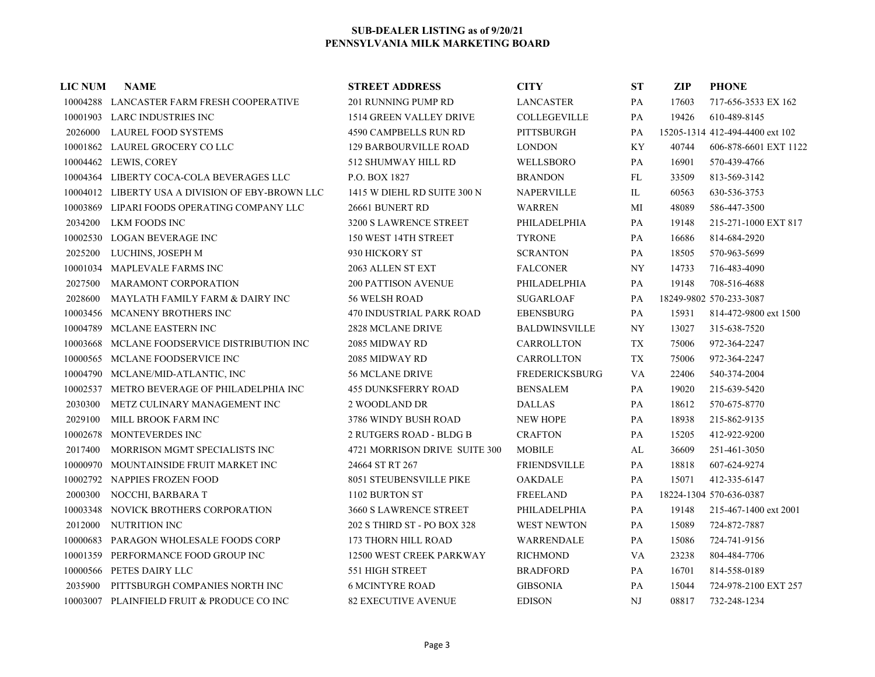| <b>LIC NUM</b> | <b>NAME</b>                                      | <b>STREET ADDRESS</b>         | <b>CITY</b>           | <b>ST</b>   | <b>ZIP</b> | <b>PHONE</b>                    |
|----------------|--------------------------------------------------|-------------------------------|-----------------------|-------------|------------|---------------------------------|
|                | 10004288 LANCASTER FARM FRESH COOPERATIVE        | 201 RUNNING PUMP RD           | <b>LANCASTER</b>      | PA          | 17603      | 717-656-3533 EX 162             |
|                | 10001903 LARC INDUSTRIES INC                     | 1514 GREEN VALLEY DRIVE       | <b>COLLEGEVILLE</b>   | PA          | 19426      | 610-489-8145                    |
| 2026000        | <b>LAUREL FOOD SYSTEMS</b>                       | <b>4590 CAMPBELLS RUN RD</b>  | <b>PITTSBURGH</b>     | PA          |            | 15205-1314 412-494-4400 ext 102 |
|                | 10001862 LAUREL GROCERY CO LLC                   | 129 BARBOURVILLE ROAD         | <b>LONDON</b>         | KY          | 40744      | 606-878-6601 EXT 1122           |
|                | 10004462 LEWIS, COREY                            | 512 SHUMWAY HILL RD           | WELLSBORO             | PA          | 16901      | 570-439-4766                    |
|                | 10004364 LIBERTY COCA-COLA BEVERAGES LLC         | P.O. BOX 1827                 | <b>BRANDON</b>        | FL          | 33509      | 813-569-3142                    |
|                | 10004012 LIBERTY USA A DIVISION OF EBY-BROWN LLC | 1415 W DIEHL RD SUITE 300 N   | <b>NAPERVILLE</b>     | IL          | 60563      | 630-536-3753                    |
|                | 10003869 LIPARI FOODS OPERATING COMPANY LLC      | 26661 BUNERT RD               | <b>WARREN</b>         | МI          | 48089      | 586-447-3500                    |
| 2034200        | LKM FOODS INC                                    | 3200 S LAWRENCE STREET        | PHILADELPHIA          | PA          | 19148      | 215-271-1000 EXT 817            |
|                | 10002530 LOGAN BEVERAGE INC                      | 150 WEST 14TH STREET          | <b>TYRONE</b>         | PA          | 16686      | 814-684-2920                    |
| 2025200        | LUCHINS, JOSEPH M                                | 930 HICKORY ST                | <b>SCRANTON</b>       | PA          | 18505      | 570-963-5699                    |
|                | 10001034 MAPLEVALE FARMS INC                     | 2063 ALLEN ST EXT             | <b>FALCONER</b>       | <b>NY</b>   | 14733      | 716-483-4090                    |
| 2027500        | <b>MARAMONT CORPORATION</b>                      | <b>200 PATTISON AVENUE</b>    | PHILADELPHIA          | PA          | 19148      | 708-516-4688                    |
| 2028600        | MAYLATH FAMILY FARM & DAIRY INC                  | 56 WELSH ROAD                 | <b>SUGARLOAF</b>      | PA          |            | 18249-9802 570-233-3087         |
|                | 10003456 MCANENY BROTHERS INC                    | 470 INDUSTRIAL PARK ROAD      | <b>EBENSBURG</b>      | PA          | 15931      | 814-472-9800 ext 1500           |
|                | 10004789 MCLANE EASTERN INC                      | <b>2828 MCLANE DRIVE</b>      | <b>BALDWINSVILLE</b>  | NY          | 13027      | 315-638-7520                    |
|                | 10003668 MCLANE FOODSERVICE DISTRIBUTION INC     | 2085 MIDWAY RD                | CARROLLTON            | TX          | 75006      | 972-364-2247                    |
|                | 10000565 MCLANE FOODSERVICE INC                  | 2085 MIDWAY RD                | CARROLLTON            | TX          | 75006      | 972-364-2247                    |
|                | 10004790 MCLANE/MID-ATLANTIC, INC                | <b>56 MCLANE DRIVE</b>        | <b>FREDERICKSBURG</b> | VA          | 22406      | 540-374-2004                    |
|                | 10002537 METRO BEVERAGE OF PHILADELPHIA INC      | <b>455 DUNKSFERRY ROAD</b>    | <b>BENSALEM</b>       | PA          | 19020      | 215-639-5420                    |
| 2030300        | METZ CULINARY MANAGEMENT INC                     | 2 WOODLAND DR                 | <b>DALLAS</b>         | PA          | 18612      | 570-675-8770                    |
| 2029100        | MILL BROOK FARM INC                              | 3786 WINDY BUSH ROAD          | <b>NEW HOPE</b>       | PA          | 18938      | 215-862-9135                    |
|                | 10002678 MONTEVERDES INC                         | 2 RUTGERS ROAD - BLDG B       | <b>CRAFTON</b>        | PA          | 15205      | 412-922-9200                    |
| 2017400        | MORRISON MGMT SPECIALISTS INC                    | 4721 MORRISON DRIVE SUITE 300 | <b>MOBILE</b>         | AL          | 36609      | 251-461-3050                    |
|                | 10000970 MOUNTAINSIDE FRUIT MARKET INC           | 24664 ST RT 267               | <b>FRIENDSVILLE</b>   | PA          | 18818      | 607-624-9274                    |
|                | 10002792 NAPPIES FROZEN FOOD                     | 8051 STEUBENSVILLE PIKE       | <b>OAKDALE</b>        | PA          | 15071      | 412-335-6147                    |
| 2000300        | NOCCHI, BARBARA T                                | 1102 BURTON ST                | <b>FREELAND</b>       | PA          |            | 18224-1304 570-636-0387         |
|                | 10003348 NOVICK BROTHERS CORPORATION             | 3660 S LAWRENCE STREET        | PHILADELPHIA          | PA          | 19148      | 215-467-1400 ext 2001           |
| 2012000        | NUTRITION INC                                    | 202 S THIRD ST - PO BOX 328   | <b>WEST NEWTON</b>    | PA          | 15089      | 724-872-7887                    |
|                | 10000683 PARAGON WHOLESALE FOODS CORP            | 173 THORN HILL ROAD           | WARRENDALE            | PA          | 15086      | 724-741-9156                    |
|                | 10001359 PERFORMANCE FOOD GROUP INC              | 12500 WEST CREEK PARKWAY      | <b>RICHMOND</b>       | VA          | 23238      | 804-484-7706                    |
|                | 10000566 PETES DAIRY LLC                         | 551 HIGH STREET               | <b>BRADFORD</b>       | PA          | 16701      | 814-558-0189                    |
| 2035900        | PITTSBURGH COMPANIES NORTH INC                   | <b>6 MCINTYRE ROAD</b>        | <b>GIBSONIA</b>       | PA          | 15044      | 724-978-2100 EXT 257            |
|                | 10003007 PLAINFIELD FRUIT & PRODUCE CO INC       | <b>82 EXECUTIVE AVENUE</b>    | <b>EDISON</b>         | $_{\rm NJ}$ | 08817      | 732-248-1234                    |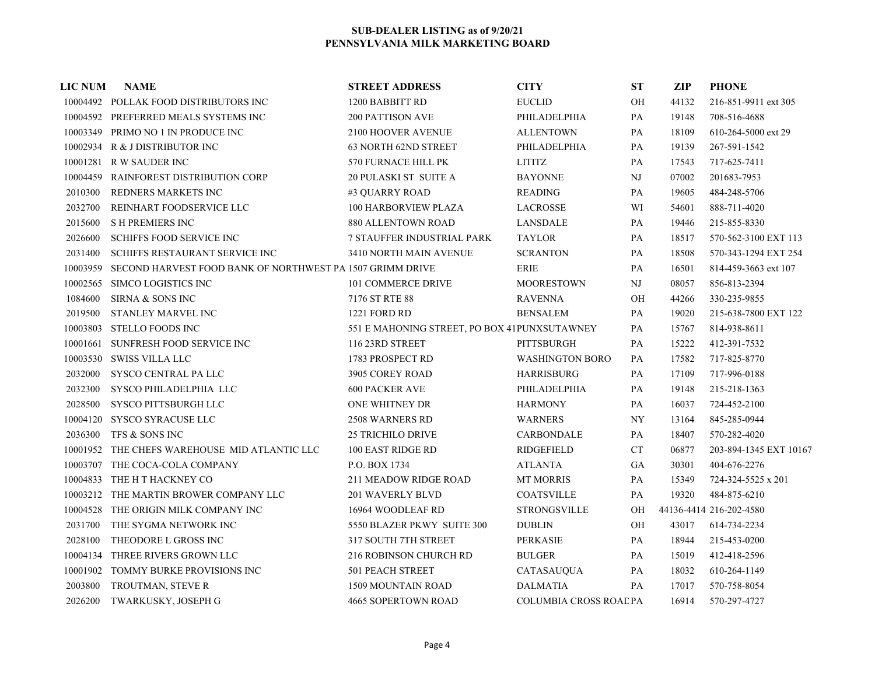| <b>LIC NUM</b> | <b>NAME</b>                                               | <b>STREET ADDRESS</b>                        | <b>CITY</b>                   | ST                       | ZIP   | <b>PHONE</b>            |
|----------------|-----------------------------------------------------------|----------------------------------------------|-------------------------------|--------------------------|-------|-------------------------|
|                | 10004492 POLLAK FOOD DISTRIBUTORS INC                     | 1200 BABBITT RD                              | <b>EUCLID</b>                 | $\rm OH$                 | 44132 | 216-851-9911 ext 305    |
|                | 10004592 PREFERRED MEALS SYSTEMS INC                      | <b>200 PATTISON AVE</b>                      | PHILADELPHIA                  | PA                       | 19148 | 708-516-4688            |
|                | 10003349 PRIMO NO 1 IN PRODUCE INC                        | 2100 HOOVER AVENUE                           | <b>ALLENTOWN</b>              | PA                       | 18109 | 610-264-5000 ext 29     |
|                | 10002934 R & J DISTRIBUTOR INC                            | 63 NORTH 62ND STREET                         | PHILADELPHIA                  | PA                       | 19139 | 267-591-1542            |
|                | 10001281 R W SAUDER INC                                   | 570 FURNACE HILL PK                          | <b>LITITZ</b>                 | PA                       | 17543 | 717-625-7411            |
| 10004459       | <b>RAINFOREST DISTRIBUTION CORP</b>                       | 20 PULASKI ST SUITE A                        | <b>BAYONNE</b>                | NJ                       | 07002 | 201683-7953             |
| 2010300        | <b>REDNERS MARKETS INC</b>                                | #3 OUARRY ROAD                               | <b>READING</b>                | PA                       | 19605 | 484-248-5706            |
| 2032700        | REINHART FOODSERVICE LLC                                  | <b>100 HARBORVIEW PLAZA</b>                  | LACROSSE                      | WI                       | 54601 | 888-711-4020            |
| 2015600        | <b>SH PREMIERS INC</b>                                    | 880 ALLENTOWN ROAD                           | <b>LANSDALE</b>               | PA                       | 19446 | 215-855-8330            |
| 2026600        | <b>SCHIFFS FOOD SERVICE INC</b>                           | 7 STAUFFER INDUSTRIAL PARK                   | <b>TAYLOR</b>                 | PA                       | 18517 | 570-562-3100 EXT 113    |
| 2031400        | SCHIFFS RESTAURANT SERVICE INC                            | 3410 NORTH MAIN AVENUE                       | <b>SCRANTON</b>               | PA                       | 18508 | 570-343-1294 EXT 254    |
| 10003959       | SECOND HARVEST FOOD BANK OF NORTHWEST PA 1507 GRIMM DRIVE |                                              | <b>ERIE</b>                   | PA                       | 16501 | 814-459-3663 ext 107    |
| 10002565       | SIMCO LOGISTICS INC                                       | 101 COMMERCE DRIVE                           | <b>MOORESTOWN</b>             | $\mathbf{N}\mathbf{J}$   | 08057 | 856-813-2394            |
| 1084600        | SIRNA & SONS INC                                          | 7176 ST RTE 88                               | <b>RAVENNA</b>                | OН                       | 44266 | 330-235-9855            |
| 2019500        | STANLEY MARVEL INC                                        | 1221 FORD RD                                 | <b>BENSALEM</b>               | PA                       | 19020 | 215-638-7800 EXT 122    |
|                | 10003803 STELLO FOODS INC                                 | 551 E MAHONING STREET, PO BOX 41PUNXSUTAWNEY |                               | PA                       | 15767 | 814-938-8611            |
|                | 10001661 SUNFRESH FOOD SERVICE INC                        | 116 23RD STREET                              | PITTSBURGH                    | PA                       | 15222 | 412-391-7532            |
|                | 10003530 SWISS VILLA LLC                                  | 1783 PROSPECT RD                             | <b>WASHINGTON BORO</b>        | PA                       | 17582 | 717-825-8770            |
| 2032000        | SYSCO CENTRAL PA LLC                                      | 3905 COREY ROAD                              | <b>HARRISBURG</b>             | PA                       | 17109 | 717-996-0188            |
| 2032300        | SYSCO PHILADELPHIA LLC                                    | <b>600 PACKER AVE</b>                        | PHILADELPHIA                  | PA                       | 19148 | 215-218-1363            |
| 2028500        | SYSCO PITTSBURGH LLC                                      | ONE WHITNEY DR                               | <b>HARMONY</b>                | PA                       | 16037 | 724-452-2100            |
| 10004120       | SYSCO SYRACUSE LLC                                        | <b>2508 WARNERS RD</b>                       | <b>WARNERS</b>                | $\ensuremath{\text{NY}}$ | 13164 | 845-285-0944            |
| 2036300        | TFS & SONS INC                                            | <b>25 TRICHILO DRIVE</b>                     | CARBONDALE                    | PA                       | 18407 | 570-282-4020            |
|                | 10001952 THE CHEFS WAREHOUSE MID ATLANTIC LLC             | 100 EAST RIDGE RD                            | RIDGEFIELD                    | CT                       | 06877 | 203-894-1345 EXT 10167  |
|                | 10003707 THE COCA-COLA COMPANY                            | P.O. BOX 1734                                | ATLANTA                       | GA                       | 30301 | 404-676-2276            |
|                | 10004833 THE H T HACKNEY CO                               | <b>211 MEADOW RIDGE ROAD</b>                 | <b>MT MORRIS</b>              | PA                       | 15349 | 724-324-5525 x 201      |
|                | 10003212 THE MARTIN BROWER COMPANY LLC                    | <b>201 WAVERLY BLVD</b>                      | <b>COATSVILLE</b>             | PA                       | 19320 | 484-875-6210            |
|                | 10004528 THE ORIGIN MILK COMPANY INC                      | 16964 WOODLEAF RD                            | <b>STRONGSVILLE</b>           | OH                       |       | 44136-4414 216-202-4580 |
| 2031700        | THE SYGMA NETWORK INC                                     | 5550 BLAZER PKWY SUITE 300                   | <b>DUBLIN</b>                 | OH                       | 43017 | 614-734-2234            |
| 2028100        | THEODORE L GROSS INC                                      | 317 SOUTH 7TH STREET                         | <b>PERKASIE</b>               | PA                       | 18944 | 215-453-0200            |
|                | 10004134 THREE RIVERS GROWN LLC                           | 216 ROBINSON CHURCH RD                       | <b>BULGER</b>                 | PA                       | 15019 | 412-418-2596            |
|                | 10001902 TOMMY BURKE PROVISIONS INC                       | <b>501 PEACH STREET</b>                      | CATASAUQUA                    | PA                       | 18032 | 610-264-1149            |
| 2003800        | TROUTMAN, STEVE R                                         | <b>1509 MOUNTAIN ROAD</b>                    | <b>DALMATIA</b>               | PA                       | 17017 | 570-758-8054            |
| 2026200        | TWARKUSKY, JOSEPH G                                       | <b>4665 SOPERTOWN ROAD</b>                   | <b>COLUMBIA CROSS ROAL PA</b> |                          | 16914 | 570-297-4727            |